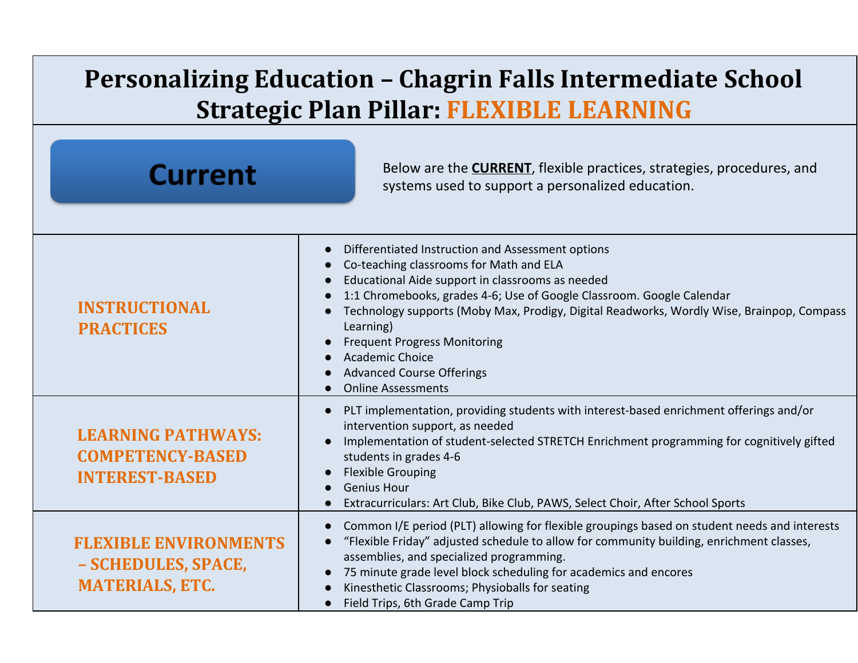## **Personalizing Education – Chagrin Falls Intermediate School Strategic Plan Pillar: FLEXIBLE LEARNING**

| <b>Current</b>                                                                | Below are the <b>CURRENT</b> , flexible practices, strategies, procedures, and<br>systems used to support a personalized education.                                                                                                                                                                                                                                                                                                                            |
|-------------------------------------------------------------------------------|----------------------------------------------------------------------------------------------------------------------------------------------------------------------------------------------------------------------------------------------------------------------------------------------------------------------------------------------------------------------------------------------------------------------------------------------------------------|
| <b>INSTRUCTIONAL</b><br><b>PRACTICES</b>                                      | Differentiated Instruction and Assessment options<br>Co-teaching classrooms for Math and ELA<br>Educational Aide support in classrooms as needed<br>1:1 Chromebooks, grades 4-6; Use of Google Classroom. Google Calendar<br>Technology supports (Moby Max, Prodigy, Digital Readworks, Wordly Wise, Brainpop, Compass<br>Learning)<br><b>Frequent Progress Monitoring</b><br>Academic Choice<br><b>Advanced Course Offerings</b><br><b>Online Assessments</b> |
| <b>LEARNING PATHWAYS:</b><br><b>COMPETENCY-BASED</b><br><b>INTEREST-BASED</b> | PLT implementation, providing students with interest-based enrichment offerings and/or<br>intervention support, as needed<br>Implementation of student-selected STRETCH Enrichment programming for cognitively gifted<br>students in grades 4-6<br><b>Flexible Grouping</b><br><b>Genius Hour</b><br>Extracurriculars: Art Club, Bike Club, PAWS, Select Choir, After School Sports                                                                            |
| <b>FLEXIBLE ENVIRONMENTS</b><br>- SCHEDULES, SPACE,<br><b>MATERIALS, ETC.</b> | Common I/E period (PLT) allowing for flexible groupings based on student needs and interests<br>"Flexible Friday" adjusted schedule to allow for community building, enrichment classes,<br>assemblies, and specialized programming.<br>75 minute grade level block scheduling for academics and encores<br>Kinesthetic Classrooms; Physioballs for seating<br>Field Trips, 6th Grade Camp Trip                                                                |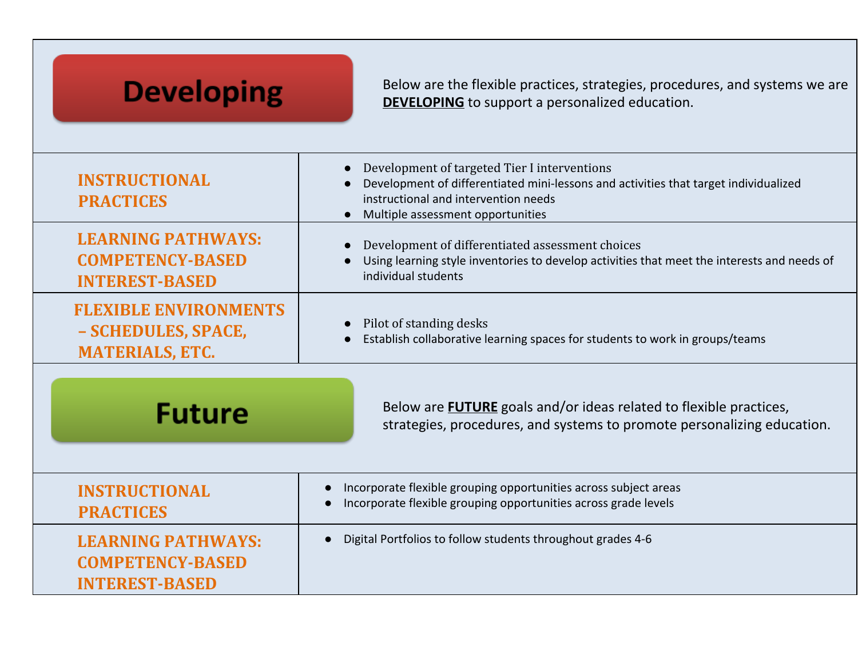| <b>Developing</b>                                                             | Below are the flexible practices, strategies, procedures, and systems we are<br><b>DEVELOPING</b> to support a personalized education.                                                                            |
|-------------------------------------------------------------------------------|-------------------------------------------------------------------------------------------------------------------------------------------------------------------------------------------------------------------|
| <b>INSTRUCTIONAL</b><br><b>PRACTICES</b>                                      | Development of targeted Tier I interventions<br>Development of differentiated mini-lessons and activities that target individualized<br>instructional and intervention needs<br>Multiple assessment opportunities |
| <b>LEARNING PATHWAYS:</b><br><b>COMPETENCY-BASED</b><br><b>INTEREST-BASED</b> | Development of differentiated assessment choices<br>Using learning style inventories to develop activities that meet the interests and needs of<br>individual students                                            |
| <b>FLEXIBLE ENVIRONMENTS</b><br>- SCHEDULES, SPACE,<br><b>MATERIALS, ETC.</b> | Pilot of standing desks<br>Establish collaborative learning spaces for students to work in groups/teams                                                                                                           |
| <b>Future</b>                                                                 | Below are <b>FUTURE</b> goals and/or ideas related to flexible practices,<br>strategies, procedures, and systems to promote personalizing education.                                                              |
| <b>INSTRUCTIONAL</b><br><b>PRACTICES</b>                                      | Incorporate flexible grouping opportunities across subject areas<br>Incorporate flexible grouping opportunities across grade levels                                                                               |
| <b>LEARNING PATHWAYS:</b><br><b>COMPETENCY-BASED</b><br><b>INTEREST-BASED</b> | Digital Portfolios to follow students throughout grades 4-6                                                                                                                                                       |